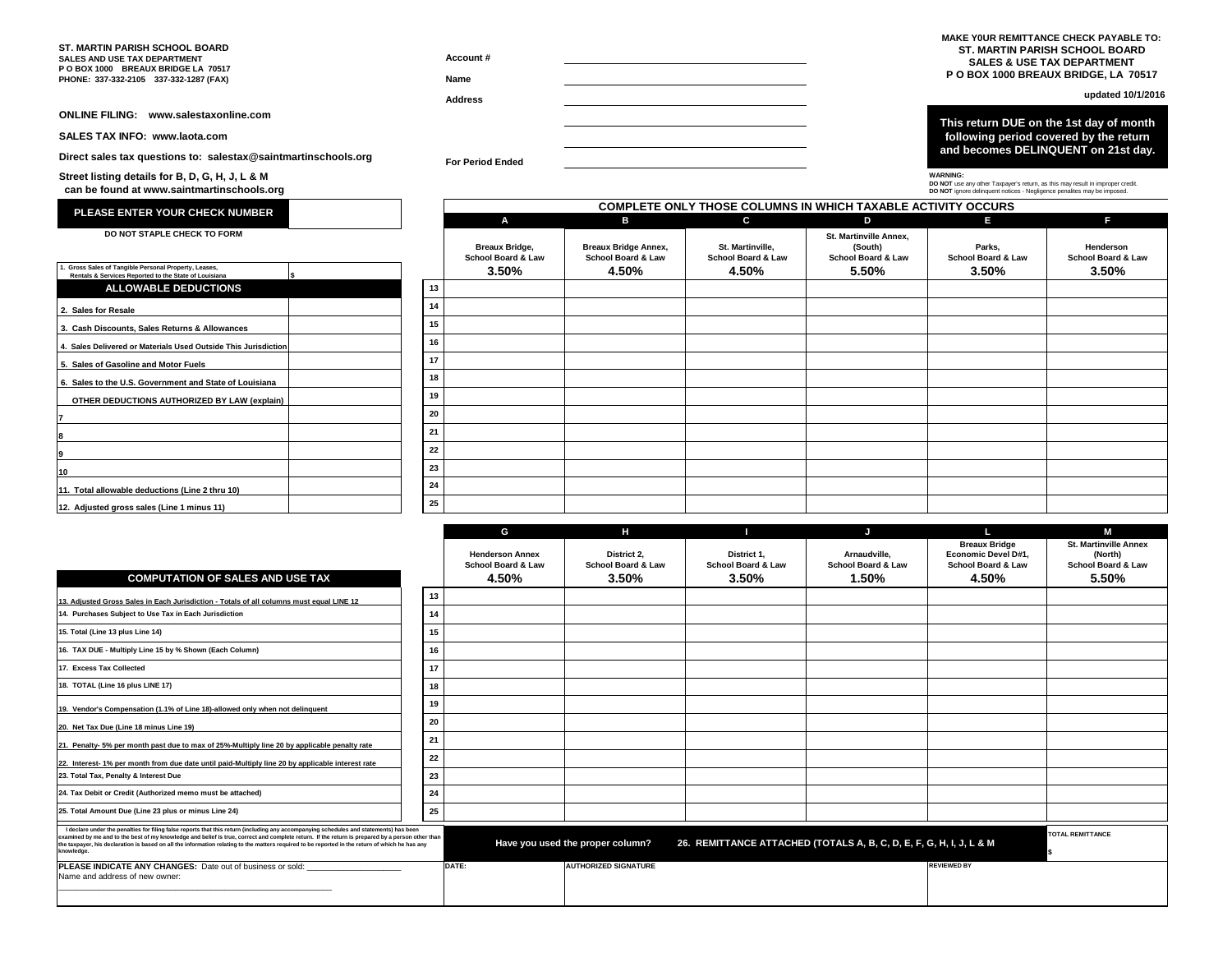## **ST. MARTIN PARISH SCHOOL BOARD SALES AND USE TAX DEPARTMENT**

**P O BOX 1000 BREAUX BRIDGE LA 70517 PHONE: 337-332-2105 337-332-1287 (FAX)**

**SALES TAX INFO: www.laota.com**

**Street listing details for B, D, G, H, J, L & M can be found at www.saintmartinschools.org**

**Direct sales tax questions to: salestax@saintmartinschools.org**

**Name**

**Account #**

 **MAKE Y0UR REMITTANCE CHECK PAYABLE TO: ST. MARTIN PARISH SCHOOL BOARD SALES & USE TAX DEPARTMENT P O BOX 1000 BREAUX BRIDGE, LA 70517**

**Address updated 10/1/2016**

**ONLINE FILING: www.salestaxonline.com This return DUE on the 1st day of month following period covered by the return and becomes DELINQUENT on 21st day.**

**For Period Ended**



**DO NOT** use any other Taxpayer's return, as this may result in improper credit. **DO NOT** ignore delinquent notices - Negligence penalites may be imposed.

| 1. Gross Sales of Tangible Personal Property, Leases.          |    |
|----------------------------------------------------------------|----|
| Rentals & Services Reported to the State of Louisiana          | \$ |
| <b>ALLOWABLE DEDUCTIONS</b>                                    |    |
| 2. Sales for Resale                                            |    |
| 3. Cash Discounts, Sales Returns & Allowances                  |    |
| 4. Sales Delivered or Materials Used Outside This Jurisdiction |    |
| 5. Sales of Gasoline and Motor Fuels                           |    |
| 6. Sales to the U.S. Government and State of Louisiana         |    |
| OTHER DEDUCTIONS AUTHORIZED BY LAW (explain)                   |    |
| $\overline{7}$                                                 |    |
| 8                                                              |    |
| 9                                                              |    |
| 10                                                             |    |
| 11. Total allowable deductions (Line 2 thru 10)                |    |
| 12. Adjusted gross sales (Line 1 minus 11)                     |    |

| PLEASE ENTER YOUR CHECK NUMBER                                                                              |    | <b>COMPLETE ONLY THOSE COLUMNS IN WHICH TAXABLE ACTIVITY OCCURS</b> |                                                   |                                                   |                                                                    |                                         |                                 |  |
|-------------------------------------------------------------------------------------------------------------|----|---------------------------------------------------------------------|---------------------------------------------------|---------------------------------------------------|--------------------------------------------------------------------|-----------------------------------------|---------------------------------|--|
|                                                                                                             |    | A                                                                   | в                                                 | C                                                 | D                                                                  | E.                                      | F.                              |  |
| DO NOT STAPLE CHECK TO FORM                                                                                 |    | <b>Breaux Bridge,</b><br>School Board & Law                         | <b>Breaux Bridge Annex,</b><br>School Board & Law | St. Martinville.<br><b>School Board &amp; Law</b> | St. Martinville Annex.<br>(South)<br><b>School Board &amp; Law</b> | Parks.<br><b>School Board &amp; Law</b> | Henderson<br>School Board & Law |  |
| Gross Sales of Tangible Personal Property, Leases,<br>Rentals & Services Reported to the State of Louisiana |    | 3.50%                                                               | 4.50%                                             | 4.50%                                             | 5.50%                                                              | 3.50%                                   | $3.50\%$                        |  |
| <b>ALLOWABLE DEDUCTIONS</b>                                                                                 | 13 |                                                                     |                                                   |                                                   |                                                                    |                                         |                                 |  |
| <b>Sales for Resale</b>                                                                                     | 14 |                                                                     |                                                   |                                                   |                                                                    |                                         |                                 |  |
| <b>Cash Discounts, Sales Returns &amp; Allowances</b>                                                       | 15 |                                                                     |                                                   |                                                   |                                                                    |                                         |                                 |  |
| Sales Delivered or Materials Used Outside This Jurisdiction                                                 | 16 |                                                                     |                                                   |                                                   |                                                                    |                                         |                                 |  |
| <b>Sales of Gasoline and Motor Fuels</b>                                                                    | 17 |                                                                     |                                                   |                                                   |                                                                    |                                         |                                 |  |
| Sales to the U.S. Government and State of Louisiana                                                         | 18 |                                                                     |                                                   |                                                   |                                                                    |                                         |                                 |  |
| OTHER DEDUCTIONS AUTHORIZED BY LAW (explain)                                                                | 19 |                                                                     |                                                   |                                                   |                                                                    |                                         |                                 |  |
|                                                                                                             | 20 |                                                                     |                                                   |                                                   |                                                                    |                                         |                                 |  |
|                                                                                                             | 21 |                                                                     |                                                   |                                                   |                                                                    |                                         |                                 |  |
|                                                                                                             | 22 |                                                                     |                                                   |                                                   |                                                                    |                                         |                                 |  |
|                                                                                                             | 23 |                                                                     |                                                   |                                                   |                                                                    |                                         |                                 |  |
| Total allowable deductions (Line 2 thru 10)                                                                 | 24 |                                                                     |                                                   |                                                   |                                                                    |                                         |                                 |  |
| Adjusted gross sales (Line 1 minus 11)                                                                      | 25 |                                                                     |                                                   |                                                   |                                                                    |                                         |                                 |  |
|                                                                                                             |    |                                                                     |                                                   |                                                   |                                                                    |                                         |                                 |  |

|                                                                                                                                                                                                                                                                                                                                                                                                                                                             |    | G                                                                | н                                          |                                                                     | ы                                                      |                                                                                       | М                                                                                 |
|-------------------------------------------------------------------------------------------------------------------------------------------------------------------------------------------------------------------------------------------------------------------------------------------------------------------------------------------------------------------------------------------------------------------------------------------------------------|----|------------------------------------------------------------------|--------------------------------------------|---------------------------------------------------------------------|--------------------------------------------------------|---------------------------------------------------------------------------------------|-----------------------------------------------------------------------------------|
| <b>COMPUTATION OF SALES AND USE TAX</b>                                                                                                                                                                                                                                                                                                                                                                                                                     |    | <b>Henderson Annex</b><br><b>School Board &amp; Law</b><br>4.50% | District 2.<br>School Board & Law<br>3.50% | District 1.<br><b>School Board &amp; Law</b><br>3.50%               | Arnaudville.<br><b>School Board &amp; Law</b><br>1.50% | <b>Breaux Bridge</b><br>Economic Devel D#1.<br><b>School Board &amp; Law</b><br>4.50% | <b>St. Martinville Annex</b><br>(North)<br><b>School Board &amp; Law</b><br>5.50% |
| 13. Adiusted Gross Sales in Each Jurisdiction - Totals of all columns must equal LINE 12                                                                                                                                                                                                                                                                                                                                                                    | 13 |                                                                  |                                            |                                                                     |                                                        |                                                                                       |                                                                                   |
| 14. Purchases Subject to Use Tax in Each Jurisdiction                                                                                                                                                                                                                                                                                                                                                                                                       | 14 |                                                                  |                                            |                                                                     |                                                        |                                                                                       |                                                                                   |
| 15. Total (Line 13 plus Line 14)                                                                                                                                                                                                                                                                                                                                                                                                                            | 15 |                                                                  |                                            |                                                                     |                                                        |                                                                                       |                                                                                   |
| 16. TAX DUE - Multiply Line 15 by % Shown (Each Column)                                                                                                                                                                                                                                                                                                                                                                                                     | 16 |                                                                  |                                            |                                                                     |                                                        |                                                                                       |                                                                                   |
| 17. Excess Tax Collected                                                                                                                                                                                                                                                                                                                                                                                                                                    | 17 |                                                                  |                                            |                                                                     |                                                        |                                                                                       |                                                                                   |
| 18. TOTAL (Line 16 plus LINE 17)                                                                                                                                                                                                                                                                                                                                                                                                                            | 18 |                                                                  |                                            |                                                                     |                                                        |                                                                                       |                                                                                   |
| 19. Vendor's Compensation (1.1% of Line 18)-allowed only when not delinquent                                                                                                                                                                                                                                                                                                                                                                                | 19 |                                                                  |                                            |                                                                     |                                                        |                                                                                       |                                                                                   |
| 20. Net Tax Due (Line 18 minus Line 19)                                                                                                                                                                                                                                                                                                                                                                                                                     | 20 |                                                                  |                                            |                                                                     |                                                        |                                                                                       |                                                                                   |
| 21. Penalty- 5% per month past due to max of 25%-Multiply line 20 by applicable penalty rate                                                                                                                                                                                                                                                                                                                                                                | 21 |                                                                  |                                            |                                                                     |                                                        |                                                                                       |                                                                                   |
| 22. Interest-1% per month from due date until paid-Multiply line 20 by applicable interest rate                                                                                                                                                                                                                                                                                                                                                             | 22 |                                                                  |                                            |                                                                     |                                                        |                                                                                       |                                                                                   |
| 23. Total Tax, Penalty & Interest Due                                                                                                                                                                                                                                                                                                                                                                                                                       | 23 |                                                                  |                                            |                                                                     |                                                        |                                                                                       |                                                                                   |
| 24. Tax Debit or Credit (Authorized memo must be attached)                                                                                                                                                                                                                                                                                                                                                                                                  | 24 |                                                                  |                                            |                                                                     |                                                        |                                                                                       |                                                                                   |
| 25. Total Amount Due (Line 23 plus or minus Line 24)                                                                                                                                                                                                                                                                                                                                                                                                        | 25 |                                                                  |                                            |                                                                     |                                                        |                                                                                       |                                                                                   |
| I declare under the penalties for filing false reports that this return (including any accompanying schedules and statements) has been<br>examined by me and to the best of my knowledge and belief is true, correct and complete return. If the return is prepared by a person other than<br>the taxpayer, his declaration is based on all the information relating to the matters required to be reported in the return of which he has any<br>knowledge. |    |                                                                  | Have you used the proper column?           | 26. REMITTANCE ATTACHED (TOTALS A, B, C, D, E, F, G, H, I, J, L & M |                                                        |                                                                                       | <b>TOTAL REMITTANCE</b>                                                           |
| PLEASE INDICATE ANY CHANGES: Date out of business or sold:<br>Name and address of new owner:                                                                                                                                                                                                                                                                                                                                                                |    | DATE:                                                            | <b>AUTHORIZED SIGNATURE</b>                |                                                                     |                                                        | <b>REVIEWED BY</b>                                                                    |                                                                                   |